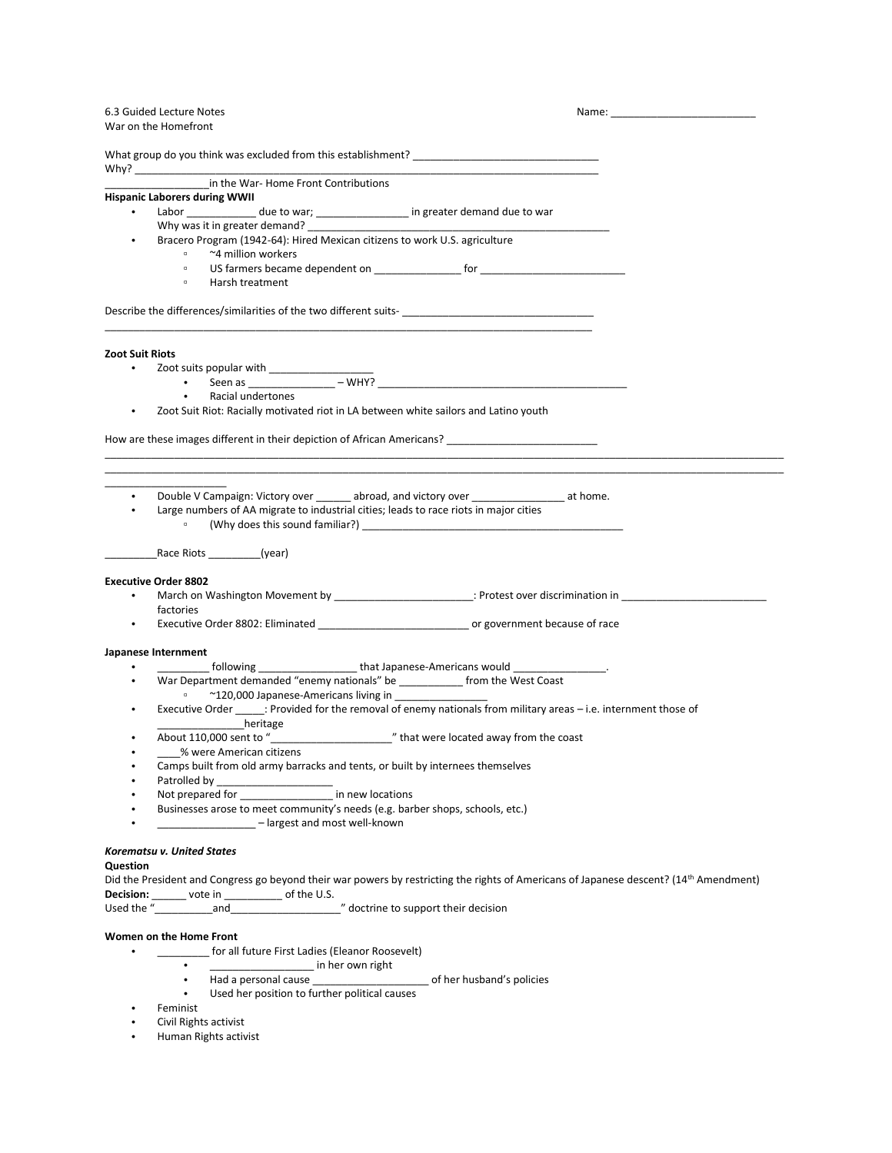# 6.3 Guided Lecture Notes Name: Name: Name: Name: Name: Name: Name: Name: Name: Name: Name: Name: Name: Name: Name: Name: Name: Name: Name: Name: Name: Name: Name: Name: Name: Name: Name: Name: Name: Name: Name: Name: Name:

|                 | War on the Homefront                                                                                                                               |  |
|-----------------|----------------------------------------------------------------------------------------------------------------------------------------------------|--|
|                 |                                                                                                                                                    |  |
|                 |                                                                                                                                                    |  |
|                 | in the War-Home Front Contributions                                                                                                                |  |
|                 | <b>Hispanic Laborers during WWII</b>                                                                                                               |  |
|                 | Labor _____________ due to war; _________________ in greater demand due to war                                                                     |  |
|                 | Why was it in greater demand?                                                                                                                      |  |
|                 | Bracero Program (1942-64): Hired Mexican citizens to work U.S. agriculture                                                                         |  |
|                 | ~4 million workers                                                                                                                                 |  |
|                 | $\hfill\square$                                                                                                                                    |  |
|                 | Harsh treatment<br>$\Box$                                                                                                                          |  |
|                 | Describe the differences/similarities of the two different suits-                                                                                  |  |
| Zoot Suit Riots |                                                                                                                                                    |  |
|                 |                                                                                                                                                    |  |
|                 |                                                                                                                                                    |  |
|                 | Racial undertones                                                                                                                                  |  |
| $\bullet$       | Zoot Suit Riot: Racially motivated riot in LA between white sailors and Latino youth                                                               |  |
|                 |                                                                                                                                                    |  |
|                 | How are these images different in their depiction of African Americans?                                                                            |  |
| $\bullet$       | Double V Campaign: Victory over ________ abroad, and victory over _____________________ at home.                                                   |  |
|                 | Large numbers of AA migrate to industrial cities; leads to race riots in major cities                                                              |  |
|                 | Race Riots (year)                                                                                                                                  |  |
|                 | <b>Executive Order 8802</b>                                                                                                                        |  |
|                 | March on Washington Movement by ______________________________: Protest over discrimination in _____________________                               |  |
|                 | factories                                                                                                                                          |  |
|                 |                                                                                                                                                    |  |
|                 | Japanese Internment                                                                                                                                |  |
|                 | _______ following ________________________that Japanese-Americans would _________________.                                                         |  |
|                 | War Department demanded "enemy nationals" be ____________ from the West Coast                                                                      |  |
|                 | ~120,000 Japanese-Americans living in __________________<br>$\alpha$                                                                               |  |
|                 | Executive Order ______: Provided for the removal of enemy nationals from military areas - i.e. internment those of                                 |  |
|                 | heritage heritage                                                                                                                                  |  |
|                 |                                                                                                                                                    |  |
|                 | % were American citizens                                                                                                                           |  |
|                 | Camps built from old army barracks and tents, or built by internees themselves                                                                     |  |
|                 | Patrolled by                                                                                                                                       |  |
|                 | Not prepared for in new locations                                                                                                                  |  |
|                 | Businesses arose to meet community's needs (e.g. barber shops, schools, etc.)<br>- largest and most well-known                                     |  |
|                 |                                                                                                                                                    |  |
|                 | Korematsu v. United States                                                                                                                         |  |
| Question        |                                                                                                                                                    |  |
|                 | Did the President and Congress go beyond their war powers by restricting the rights of Americans of Japanese descent? (14 <sup>th</sup> Amendment) |  |
|                 | Decision: _______ vote in __________ of the U.S.                                                                                                   |  |
|                 | Used the "and and " and " doctrine to support their decision"                                                                                      |  |
|                 | Women on the Home Front                                                                                                                            |  |

- \_\_\_\_\_\_\_\_\_\_ for all future First Ladies (Eleanor Roosevelt)<br>in her own right
	-
	- $\frac{1}{2}$  in her own right<br>• Had a personal cause  $\frac{1}{2}$  Used her position to further political ca of her husband's policies
	- Used her position to further political causes
- Feminist<br>• Civil Right
- Civil Rights activist
- Human Rights activist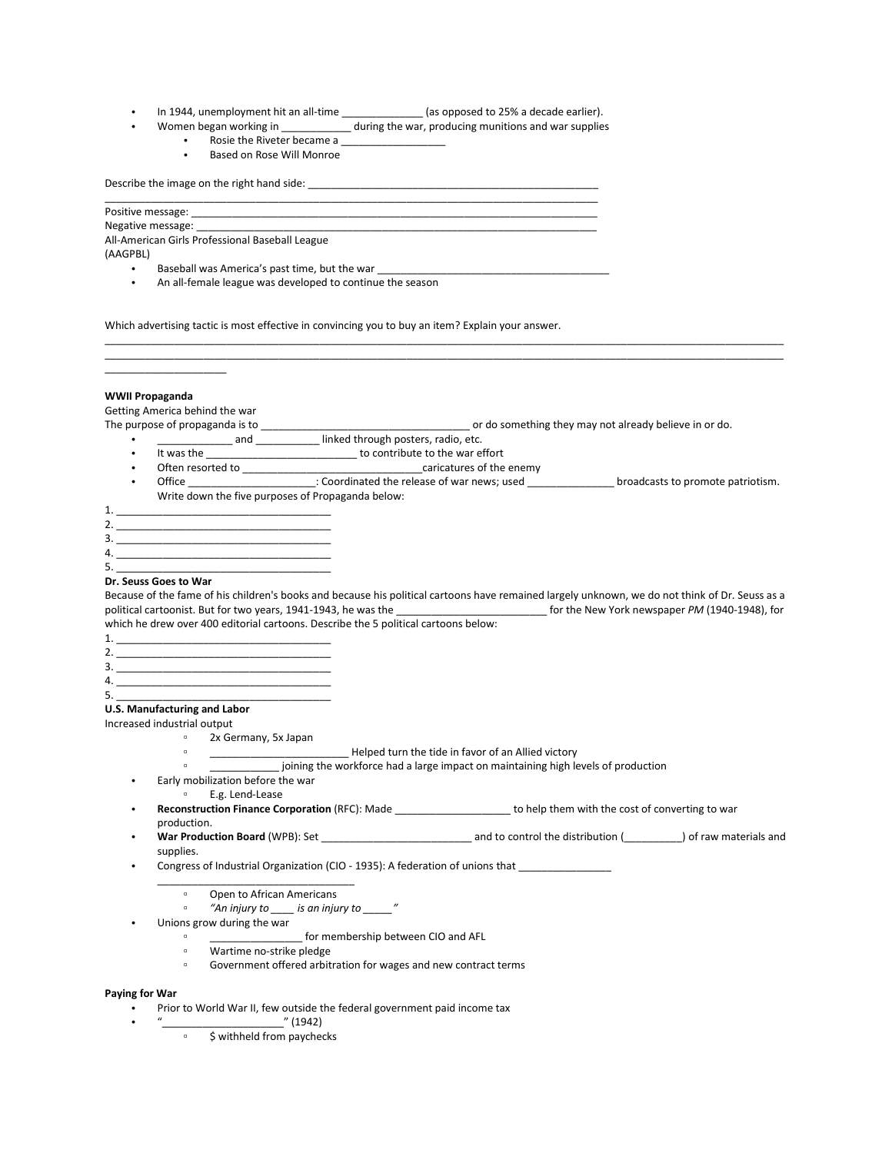In 1944, unemployment hit an all-time \_\_\_\_\_\_\_\_\_\_\_\_\_\_\_ (as opposed to 25% a decade earlier).

\_\_\_\_\_\_\_\_\_\_\_\_\_\_\_\_\_\_\_\_\_\_\_\_\_\_\_\_\_\_\_\_\_\_\_\_\_\_\_\_\_\_\_\_\_\_\_\_\_\_\_\_\_\_\_\_\_\_\_\_\_\_\_\_\_\_\_\_\_\_\_\_\_\_\_\_\_\_\_\_\_\_\_\_\_

- Women began working in \_\_\_\_\_\_\_\_\_\_\_\_ during the war, producing munitions and war supplies
	- Rosie the Riveter became a \_\_\_\_\_\_\_\_\_\_\_\_\_\_\_\_\_\_
		- Based on Rose Will Monroe

Describe the image on the right hand side: \_\_\_\_\_\_\_\_\_\_\_\_\_\_\_\_\_\_\_\_\_\_\_\_\_\_\_\_\_\_\_\_\_\_\_\_\_\_\_\_\_\_\_\_\_\_\_\_\_\_

# Positive message:

Negative message:

All-American Girls Professional Baseball League

(AAGPBL)

- Baseball was America's past time, but the war
- An all-female league was developed to continue the season

Which advertising tactic is most effective in convincing you to buy an item? Explain your answer.

## **WWII Propaganda**

\_\_\_\_\_\_\_\_\_\_\_\_\_\_\_\_\_\_\_\_\_

Getting America behind the war

The purpose of propaganda is to \_\_\_\_\_\_\_\_\_\_\_\_\_\_\_\_\_\_\_\_\_\_\_\_\_\_\_\_\_\_\_\_\_\_\_\_ or do something they may not already believe in or do.

\_\_\_\_\_\_\_\_\_\_\_\_\_\_\_\_\_\_\_\_\_\_\_\_\_\_\_\_\_\_\_\_\_\_\_\_\_\_\_\_\_\_\_\_\_\_\_\_\_\_\_\_\_\_\_\_\_\_\_\_\_\_\_\_\_\_\_\_\_\_\_\_\_\_\_\_\_\_\_\_\_\_\_\_\_\_\_\_\_\_\_\_\_\_\_\_\_\_\_\_\_\_\_\_\_\_\_\_\_\_\_\_\_\_\_\_\_ \_\_\_\_\_\_\_\_\_\_\_\_\_\_\_\_\_\_\_\_\_\_\_\_\_\_\_\_\_\_\_\_\_\_\_\_\_\_\_\_\_\_\_\_\_\_\_\_\_\_\_\_\_\_\_\_\_\_\_\_\_\_\_\_\_\_\_\_\_\_\_\_\_\_\_\_\_\_\_\_\_\_\_\_\_\_\_\_\_\_\_\_\_\_\_\_\_\_\_\_\_\_\_\_\_\_\_\_\_\_\_\_\_\_\_\_\_

- **endamage and all and all and all and all and all and all and all and all and all and all and all and all and a**
- It was the \_\_\_\_\_\_\_\_\_\_\_\_\_\_\_\_\_\_\_\_\_\_\_\_\_\_\_\_\_\_ to contribute to the war effort
- Often resorted to \_\_\_\_\_\_\_\_\_\_\_\_\_\_\_\_\_\_\_\_\_\_\_\_\_\_\_\_\_\_\_caricatures of the enemy
- Office \_\_\_\_\_\_\_\_\_\_\_\_\_\_\_\_\_\_\_\_\_\_: Coordinated the release of war news; used \_\_\_\_\_\_\_\_\_\_\_\_\_\_\_ broadcasts to promote patriotism. Write down the five purposes of Propaganda below:
- 1. \_\_\_\_\_\_\_\_\_\_\_\_\_\_\_\_\_\_\_\_\_\_\_\_\_\_\_\_\_\_\_\_\_\_\_\_\_ 2. \_\_\_\_\_\_\_\_\_\_\_\_\_\_\_\_\_\_\_\_\_\_\_\_\_\_\_\_\_\_\_\_\_\_\_\_\_ 3. \_\_\_\_\_\_\_\_\_\_\_\_\_\_\_\_\_\_\_\_\_\_\_\_\_\_\_\_\_\_\_\_\_\_\_\_\_ 4. \_\_\_\_\_\_\_\_\_\_\_\_\_\_\_\_\_\_\_\_\_\_\_\_\_\_\_\_\_\_\_\_\_\_\_\_\_
- 5. \_\_\_\_\_\_\_\_\_\_\_\_\_\_\_\_\_\_\_\_\_\_\_\_\_\_\_\_\_\_\_\_\_\_\_\_\_

# **Dr. Seuss Goes to War**

Because of the fame of his children's books and because his political cartoons have remained largely unknown, we do not think of Dr. Seuss as a political cartoonist. But for two years, 1941-1943, he was the \_\_\_\_\_\_\_\_\_\_\_\_\_\_\_\_\_\_\_\_\_\_\_\_\_\_ for the New York newspaper *PM* (1940-1948), for which he drew over 400 editorial cartoons. Describe the 5 political cartoons below:

- 1. \_\_\_\_\_\_\_\_\_\_\_\_\_\_\_\_\_\_\_\_\_\_\_\_\_\_\_\_\_\_\_\_\_\_\_\_\_
- 2. \_\_\_\_\_\_\_\_\_\_\_\_\_\_\_\_\_\_\_\_\_\_\_\_\_\_\_\_\_\_\_\_\_\_\_\_\_ 3. \_\_\_\_\_\_\_\_\_\_\_\_\_\_\_\_\_\_\_\_\_\_\_\_\_\_\_\_\_\_\_\_\_\_\_\_\_
- 4. \_\_\_\_\_\_\_\_\_\_\_\_\_\_\_\_\_\_\_\_\_\_\_\_\_\_\_\_\_\_\_\_\_\_\_\_\_
- 

#### 5. \_\_\_\_\_\_\_\_\_\_\_\_\_\_\_\_\_\_\_\_\_\_\_\_\_\_\_\_\_\_\_\_\_\_\_\_\_ **U.S. Manufacturing and Labor**

Increased industrial output

- 2x Germany, 5x Japan
- **Example 2** Legisland Contract Teleped turn the tide in favor of an Allied victory
- **•** \_\_\_\_\_\_\_\_\_\_\_\_\_\_ joining the workforce had a large impact on maintaining high levels of production
- Early mobilization before the war
	- E.g. Lend-Lease
- **Reconstruction Finance Corporation** (RFC): Made \_\_\_\_\_\_\_\_\_\_\_\_\_\_\_\_\_\_\_\_ to help them with the cost of converting to war production.
- **War Production Board** (WPB): Set **the act and to control the distribution (**  $\blacksquare$ ) of raw materials and supplies.
- Congress of Industrial Organization (CIO 1935): A federation of unions that \_\_\_\_\_\_\_\_\_\_\_\_\_\_\_\_
	- \_\_\_\_\_\_\_\_\_\_\_\_\_\_\_\_\_\_\_\_\_\_\_\_\_\_\_\_\_\_\_\_\_\_
		- $\overline{O}$  Open to African Americans<br> $\overline{O}$   $\overline{O}$   $\overline{O}$   $\overline{O}$   $\overline{O}$   $\overline{O}$   $\overline{O}$   $\overline{O}$   $\overline{O}$   $\overline{O}$   $\overline{O}$   $\overline{O}$   $\overline{O}$   $\overline{O}$   $\overline{O}$   $\overline{O}$   $\overline{O}$   $\overline{O}$   $\overline{O}$   $\overline{O}$   $\overline{O$ ▫ *"An injury to \_\_\_\_ is an injury to \_\_\_\_\_"*
- Unions grow during the war
	- $\frac{1}{2}$  for membership between CIO and AFL
	- <sup>o</sup> Wartime no-strike pledge<br>
	Government offered arbitr
	- Government offered arbitration for wages and new contract terms

## **Paying for War**

- Prior to World War II, few outside the federal government paid income tax
- "\_\_\_\_\_\_\_\_\_\_\_\_\_\_\_\_\_\_\_\_\_" (1942)
	- \$ withheld from paychecks